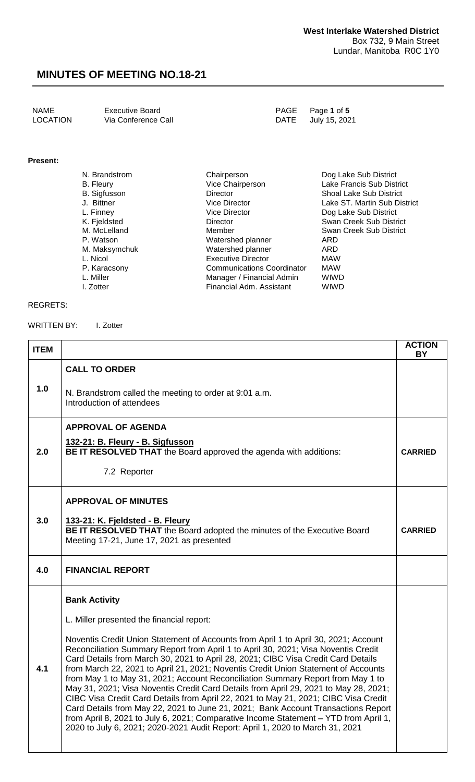| NAME     | <b>Executive Board</b> | PAGE Page 1 of 5   |
|----------|------------------------|--------------------|
| LOCATION | Via Conference Call    | DATE July 15, 2021 |

### **Present:**

| N. Brandstrom       | Chairperson                       | Dog Lake Sub District          |
|---------------------|-----------------------------------|--------------------------------|
| B. Fleury           | Vice Chairperson                  | Lake Francis Sub District      |
| <b>B.</b> Sigfusson | Director                          | <b>Shoal Lake Sub District</b> |
| J. Bittner          | Vice Director                     | Lake ST. Martin Sub District   |
| L. Finney           | <b>Vice Director</b>              | Dog Lake Sub District          |
| K. Fjeldsted        | Director                          | Swan Creek Sub District        |
| M. McLelland        | Member                            | Swan Creek Sub District        |
| P. Watson           | Watershed planner                 | ARD                            |
| M. Maksymchuk       | Watershed planner                 | ARD                            |
| L. Nicol            | <b>Executive Director</b>         | <b>MAW</b>                     |
| P. Karacsony        | <b>Communications Coordinator</b> | <b>MAW</b>                     |
| L. Miller           | Manager / Financial Admin         | <b>WIWD</b>                    |
| I. Zotter           | Financial Adm. Assistant          | <b>WIWD</b>                    |

#### REGRETS:

#### WRITTEN BY: I. Zotter

| <b>ITEM</b> |                                                                                                                                                                                                                                                                                                                                                                                                                                                                                                                                                                                                                                                                                                                                                                                                                                                                                      | <b>ACTION</b><br><b>BY</b> |
|-------------|--------------------------------------------------------------------------------------------------------------------------------------------------------------------------------------------------------------------------------------------------------------------------------------------------------------------------------------------------------------------------------------------------------------------------------------------------------------------------------------------------------------------------------------------------------------------------------------------------------------------------------------------------------------------------------------------------------------------------------------------------------------------------------------------------------------------------------------------------------------------------------------|----------------------------|
|             | <b>CALL TO ORDER</b>                                                                                                                                                                                                                                                                                                                                                                                                                                                                                                                                                                                                                                                                                                                                                                                                                                                                 |                            |
| 1.0         | N. Brandstrom called the meeting to order at 9:01 a.m.<br>Introduction of attendees                                                                                                                                                                                                                                                                                                                                                                                                                                                                                                                                                                                                                                                                                                                                                                                                  |                            |
|             | <b>APPROVAL OF AGENDA</b>                                                                                                                                                                                                                                                                                                                                                                                                                                                                                                                                                                                                                                                                                                                                                                                                                                                            |                            |
| 2.0         | 132-21: B. Fleury - B. Sigfusson<br><b>BE IT RESOLVED THAT</b> the Board approved the agenda with additions:                                                                                                                                                                                                                                                                                                                                                                                                                                                                                                                                                                                                                                                                                                                                                                         | <b>CARRIED</b>             |
|             | 7.2 Reporter                                                                                                                                                                                                                                                                                                                                                                                                                                                                                                                                                                                                                                                                                                                                                                                                                                                                         |                            |
|             | <b>APPROVAL OF MINUTES</b>                                                                                                                                                                                                                                                                                                                                                                                                                                                                                                                                                                                                                                                                                                                                                                                                                                                           |                            |
| 3.0         | 133-21: K. Fjeldsted - B. Fleury<br>BE IT RESOLVED THAT the Board adopted the minutes of the Executive Board<br>Meeting 17-21, June 17, 2021 as presented                                                                                                                                                                                                                                                                                                                                                                                                                                                                                                                                                                                                                                                                                                                            | <b>CARRIED</b>             |
| 4.0         | <b>FINANCIAL REPORT</b>                                                                                                                                                                                                                                                                                                                                                                                                                                                                                                                                                                                                                                                                                                                                                                                                                                                              |                            |
|             | <b>Bank Activity</b>                                                                                                                                                                                                                                                                                                                                                                                                                                                                                                                                                                                                                                                                                                                                                                                                                                                                 |                            |
|             | L. Miller presented the financial report:                                                                                                                                                                                                                                                                                                                                                                                                                                                                                                                                                                                                                                                                                                                                                                                                                                            |                            |
| 4.1         | Noventis Credit Union Statement of Accounts from April 1 to April 30, 2021; Account<br>Reconciliation Summary Report from April 1 to April 30, 2021; Visa Noventis Credit<br>Card Details from March 30, 2021 to April 28, 2021; CIBC Visa Credit Card Details<br>from March 22, 2021 to April 21, 2021; Noventis Credit Union Statement of Accounts<br>from May 1 to May 31, 2021; Account Reconciliation Summary Report from May 1 to<br>May 31, 2021; Visa Noventis Credit Card Details from April 29, 2021 to May 28, 2021;<br>CIBC Visa Credit Card Details from April 22, 2021 to May 21, 2021; CIBC Visa Credit<br>Card Details from May 22, 2021 to June 21, 2021; Bank Account Transactions Report<br>from April 8, 2021 to July 6, 2021; Comparative Income Statement – YTD from April 1,<br>2020 to July 6, 2021; 2020-2021 Audit Report: April 1, 2020 to March 31, 2021 |                            |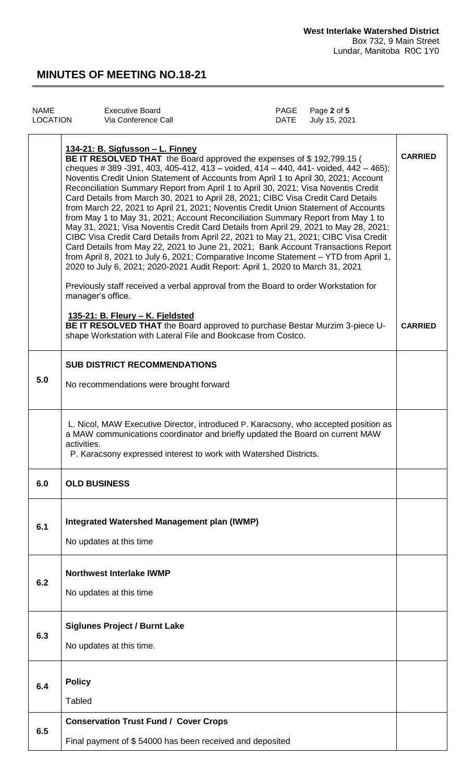| NAME            | Executive Board     | PAGE Page 2 of 5   |
|-----------------|---------------------|--------------------|
| <b>LOCATION</b> | Via Conference Call | DATE July 15, 2021 |
|                 |                     |                    |

|     | 134-21: B. Sigfusson - L. Finney<br>BE IT RESOLVED THAT the Board approved the expenses of \$192,799.15 (<br>cheques # 389 - 391, 403, 405 - 412, 413 - voided, 414 - 440, 441 - voided, 442 - 465);<br>Noventis Credit Union Statement of Accounts from April 1 to April 30, 2021; Account<br>Reconciliation Summary Report from April 1 to April 30, 2021; Visa Noventis Credit<br>Card Details from March 30, 2021 to April 28, 2021; CIBC Visa Credit Card Details<br>from March 22, 2021 to April 21, 2021; Noventis Credit Union Statement of Accounts<br>from May 1 to May 31, 2021; Account Reconciliation Summary Report from May 1 to<br>May 31, 2021; Visa Noventis Credit Card Details from April 29, 2021 to May 28, 2021;<br>CIBC Visa Credit Card Details from April 22, 2021 to May 21, 2021; CIBC Visa Credit<br>Card Details from May 22, 2021 to June 21, 2021; Bank Account Transactions Report<br>from April 8, 2021 to July 6, 2021; Comparative Income Statement - YTD from April 1,<br>2020 to July 6, 2021; 2020-2021 Audit Report: April 1, 2020 to March 31, 2021<br>Previously staff received a verbal approval from the Board to order Workstation for<br>manager's office.<br>135-21: B. Fleury - K. Fjeldsted | <b>CARRIED</b> |
|-----|----------------------------------------------------------------------------------------------------------------------------------------------------------------------------------------------------------------------------------------------------------------------------------------------------------------------------------------------------------------------------------------------------------------------------------------------------------------------------------------------------------------------------------------------------------------------------------------------------------------------------------------------------------------------------------------------------------------------------------------------------------------------------------------------------------------------------------------------------------------------------------------------------------------------------------------------------------------------------------------------------------------------------------------------------------------------------------------------------------------------------------------------------------------------------------------------------------------------------------------------|----------------|
|     | BE IT RESOLVED THAT the Board approved to purchase Bestar Murzim 3-piece U-<br>shape Workstation with Lateral File and Bookcase from Costco.                                                                                                                                                                                                                                                                                                                                                                                                                                                                                                                                                                                                                                                                                                                                                                                                                                                                                                                                                                                                                                                                                                 | <b>CARRIED</b> |
|     | <b>SUB DISTRICT RECOMMENDATIONS</b>                                                                                                                                                                                                                                                                                                                                                                                                                                                                                                                                                                                                                                                                                                                                                                                                                                                                                                                                                                                                                                                                                                                                                                                                          |                |
| 5.0 | No recommendations were brought forward                                                                                                                                                                                                                                                                                                                                                                                                                                                                                                                                                                                                                                                                                                                                                                                                                                                                                                                                                                                                                                                                                                                                                                                                      |                |
|     | L. Nicol, MAW Executive Director, introduced P. Karacsony, who accepted position as<br>a MAW communications coordinator and briefly updated the Board on current MAW<br>activities.<br>P. Karacsony expressed interest to work with Watershed Districts.                                                                                                                                                                                                                                                                                                                                                                                                                                                                                                                                                                                                                                                                                                                                                                                                                                                                                                                                                                                     |                |
| 6.U | <b>OLD BUSINESS</b>                                                                                                                                                                                                                                                                                                                                                                                                                                                                                                                                                                                                                                                                                                                                                                                                                                                                                                                                                                                                                                                                                                                                                                                                                          |                |
| 6.1 | <b>Integrated Watershed Management plan (IWMP)</b><br>No updates at this time                                                                                                                                                                                                                                                                                                                                                                                                                                                                                                                                                                                                                                                                                                                                                                                                                                                                                                                                                                                                                                                                                                                                                                |                |
| 6.2 | <b>Northwest Interlake IWMP</b><br>No updates at this time                                                                                                                                                                                                                                                                                                                                                                                                                                                                                                                                                                                                                                                                                                                                                                                                                                                                                                                                                                                                                                                                                                                                                                                   |                |
| 6.3 | <b>Siglunes Project / Burnt Lake</b>                                                                                                                                                                                                                                                                                                                                                                                                                                                                                                                                                                                                                                                                                                                                                                                                                                                                                                                                                                                                                                                                                                                                                                                                         |                |
|     | No updates at this time.                                                                                                                                                                                                                                                                                                                                                                                                                                                                                                                                                                                                                                                                                                                                                                                                                                                                                                                                                                                                                                                                                                                                                                                                                     |                |
|     | <b>Policy</b>                                                                                                                                                                                                                                                                                                                                                                                                                                                                                                                                                                                                                                                                                                                                                                                                                                                                                                                                                                                                                                                                                                                                                                                                                                |                |
| 6.4 | <b>Tabled</b>                                                                                                                                                                                                                                                                                                                                                                                                                                                                                                                                                                                                                                                                                                                                                                                                                                                                                                                                                                                                                                                                                                                                                                                                                                |                |
|     | <b>Conservation Trust Fund / Cover Crops</b>                                                                                                                                                                                                                                                                                                                                                                                                                                                                                                                                                                                                                                                                                                                                                                                                                                                                                                                                                                                                                                                                                                                                                                                                 |                |
| 6.5 | Final payment of \$54000 has been received and deposited                                                                                                                                                                                                                                                                                                                                                                                                                                                                                                                                                                                                                                                                                                                                                                                                                                                                                                                                                                                                                                                                                                                                                                                     |                |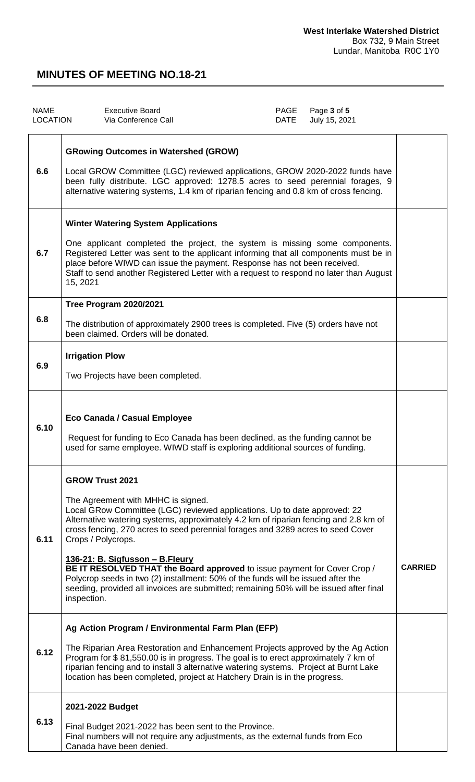| <b>NAME</b><br><b>LOCATION</b> | <b>Executive Board</b><br>Via Conference Call                                                                                                                                                                                                                                                                                                                                                                                                                                                                                                                                                                                                           | PAGE<br><b>DATE</b> | Page 3 of 5<br>July 15, 2021 |                |
|--------------------------------|---------------------------------------------------------------------------------------------------------------------------------------------------------------------------------------------------------------------------------------------------------------------------------------------------------------------------------------------------------------------------------------------------------------------------------------------------------------------------------------------------------------------------------------------------------------------------------------------------------------------------------------------------------|---------------------|------------------------------|----------------|
| 6.6                            | <b>GRowing Outcomes in Watershed (GROW)</b><br>Local GROW Committee (LGC) reviewed applications, GROW 2020-2022 funds have<br>been fully distribute. LGC approved: 1278.5 acres to seed perennial forages, 9<br>alternative watering systems, 1.4 km of riparian fencing and 0.8 km of cross fencing.                                                                                                                                                                                                                                                                                                                                                   |                     |                              |                |
| 6.7                            | <b>Winter Watering System Applications</b><br>One applicant completed the project, the system is missing some components.<br>Registered Letter was sent to the applicant informing that all components must be in<br>place before WIWD can issue the payment. Response has not been received.<br>Staff to send another Registered Letter with a request to respond no later than August<br>15, 2021                                                                                                                                                                                                                                                     |                     |                              |                |
| 6.8                            | <b>Tree Program 2020/2021</b><br>The distribution of approximately 2900 trees is completed. Five (5) orders have not<br>been claimed. Orders will be donated.                                                                                                                                                                                                                                                                                                                                                                                                                                                                                           |                     |                              |                |
| 6.9                            | <b>Irrigation Plow</b><br>Two Projects have been completed.                                                                                                                                                                                                                                                                                                                                                                                                                                                                                                                                                                                             |                     |                              |                |
| 6.10                           | Eco Canada / Casual Employee<br>Request for funding to Eco Canada has been declined, as the funding cannot be<br>used for same employee. WIWD staff is exploring additional sources of funding.                                                                                                                                                                                                                                                                                                                                                                                                                                                         |                     |                              |                |
| 6.11                           | <b>GROW Trust 2021</b><br>The Agreement with MHHC is signed.<br>Local GRow Committee (LGC) reviewed applications. Up to date approved: 22<br>Alternative watering systems, approximately 4.2 km of riparian fencing and 2.8 km of<br>cross fencing, 270 acres to seed perennial forages and 3289 acres to seed Cover<br>Crops / Polycrops.<br>136-21: B. Sigfusson - B. Fleury<br>BE IT RESOLVED THAT the Board approved to issue payment for Cover Crop /<br>Polycrop seeds in two (2) installment: 50% of the funds will be issued after the<br>seeding, provided all invoices are submitted; remaining 50% will be issued after final<br>inspection. |                     |                              | <b>CARRIED</b> |
| 6.12                           | Ag Action Program / Environmental Farm Plan (EFP)<br>The Riparian Area Restoration and Enhancement Projects approved by the Ag Action<br>Program for \$81,550.00 is in progress. The goal is to erect approximately 7 km of<br>riparian fencing and to install 3 alternative watering systems. Project at Burnt Lake<br>location has been completed, project at Hatchery Drain is in the progress.                                                                                                                                                                                                                                                      |                     |                              |                |
| 6.13                           | 2021-2022 Budget<br>Final Budget 2021-2022 has been sent to the Province.<br>Final numbers will not require any adjustments, as the external funds from Eco<br>Canada have been denied.                                                                                                                                                                                                                                                                                                                                                                                                                                                                 |                     |                              |                |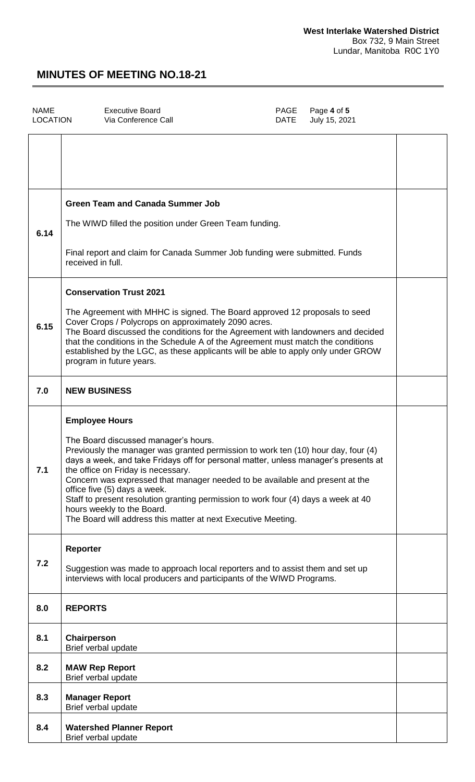| <b>NAME</b><br><b>LOCATION</b> | <b>Executive Board</b><br>PAGE<br>Via Conference Call<br><b>DATE</b>                                                                                                                                                                                                                                                                                                                                                                                                                                                                                                                 | Page 4 of 5<br>July 15, 2021 |  |
|--------------------------------|--------------------------------------------------------------------------------------------------------------------------------------------------------------------------------------------------------------------------------------------------------------------------------------------------------------------------------------------------------------------------------------------------------------------------------------------------------------------------------------------------------------------------------------------------------------------------------------|------------------------------|--|
|                                |                                                                                                                                                                                                                                                                                                                                                                                                                                                                                                                                                                                      |                              |  |
| 6.14                           | <b>Green Team and Canada Summer Job</b><br>The WIWD filled the position under Green Team funding.<br>Final report and claim for Canada Summer Job funding were submitted. Funds<br>received in full.                                                                                                                                                                                                                                                                                                                                                                                 |                              |  |
| 6.15                           | <b>Conservation Trust 2021</b><br>The Agreement with MHHC is signed. The Board approved 12 proposals to seed<br>Cover Crops / Polycrops on approximately 2090 acres.<br>The Board discussed the conditions for the Agreement with landowners and decided<br>that the conditions in the Schedule A of the Agreement must match the conditions<br>established by the LGC, as these applicants will be able to apply only under GROW<br>program in future years.                                                                                                                        |                              |  |
| 7.0                            | <b>NEW BUSINESS</b>                                                                                                                                                                                                                                                                                                                                                                                                                                                                                                                                                                  |                              |  |
| 7.1                            | <b>Employee Hours</b><br>The Board discussed manager's hours.<br>Previously the manager was granted permission to work ten (10) hour day, four (4)<br>days a week, and take Fridays off for personal matter, unless manager's presents at<br>the office on Friday is necessary.<br>Concern was expressed that manager needed to be available and present at the<br>office five (5) days a week.<br>Staff to present resolution granting permission to work four (4) days a week at 40<br>hours weekly to the Board.<br>The Board will address this matter at next Executive Meeting. |                              |  |
| 7.2                            | <b>Reporter</b><br>Suggestion was made to approach local reporters and to assist them and set up<br>interviews with local producers and participants of the WIWD Programs.                                                                                                                                                                                                                                                                                                                                                                                                           |                              |  |
| 8.0                            | <b>REPORTS</b>                                                                                                                                                                                                                                                                                                                                                                                                                                                                                                                                                                       |                              |  |
| 8.1                            | Chairperson<br>Brief verbal update                                                                                                                                                                                                                                                                                                                                                                                                                                                                                                                                                   |                              |  |
| 8.2                            | <b>MAW Rep Report</b><br>Brief verbal update                                                                                                                                                                                                                                                                                                                                                                                                                                                                                                                                         |                              |  |
| 8.3                            | <b>Manager Report</b><br>Brief verbal update                                                                                                                                                                                                                                                                                                                                                                                                                                                                                                                                         |                              |  |
| 8.4                            | <b>Watershed Planner Report</b><br>Brief verbal update                                                                                                                                                                                                                                                                                                                                                                                                                                                                                                                               |                              |  |